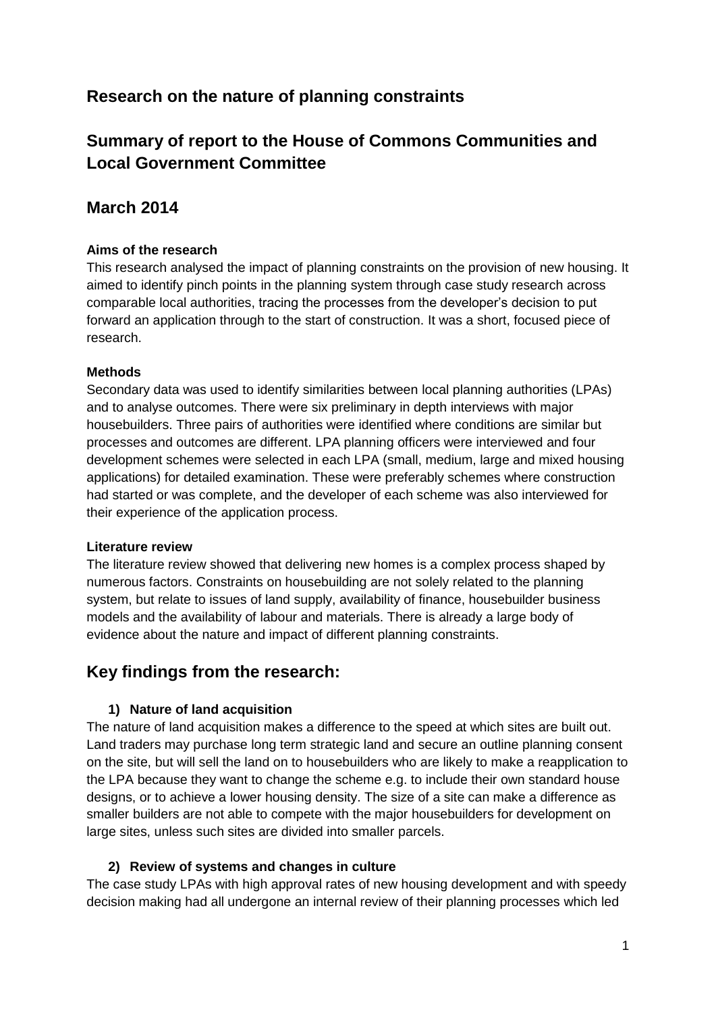# **Research on the nature of planning constraints**

# **Summary of report to the House of Commons Communities and Local Government Committee**

## **March 2014**

#### **Aims of the research**

This research analysed the impact of planning constraints on the provision of new housing. It aimed to identify pinch points in the planning system through case study research across comparable local authorities, tracing the processes from the developer's decision to put forward an application through to the start of construction. It was a short, focused piece of research.

#### **Methods**

Secondary data was used to identify similarities between local planning authorities (LPAs) and to analyse outcomes. There were six preliminary in depth interviews with major housebuilders. Three pairs of authorities were identified where conditions are similar but processes and outcomes are different. LPA planning officers were interviewed and four development schemes were selected in each LPA (small, medium, large and mixed housing applications) for detailed examination. These were preferably schemes where construction had started or was complete, and the developer of each scheme was also interviewed for their experience of the application process.

#### **Literature review**

The literature review showed that delivering new homes is a complex process shaped by numerous factors. Constraints on housebuilding are not solely related to the planning system, but relate to issues of land supply, availability of finance, housebuilder business models and the availability of labour and materials. There is already a large body of evidence about the nature and impact of different planning constraints.

## **Key findings from the research:**

#### **1) Nature of land acquisition**

The nature of land acquisition makes a difference to the speed at which sites are built out. Land traders may purchase long term strategic land and secure an outline planning consent on the site, but will sell the land on to housebuilders who are likely to make a reapplication to the LPA because they want to change the scheme e.g. to include their own standard house designs, or to achieve a lower housing density. The size of a site can make a difference as smaller builders are not able to compete with the major housebuilders for development on large sites, unless such sites are divided into smaller parcels.

#### **2) Review of systems and changes in culture**

The case study LPAs with high approval rates of new housing development and with speedy decision making had all undergone an internal review of their planning processes which led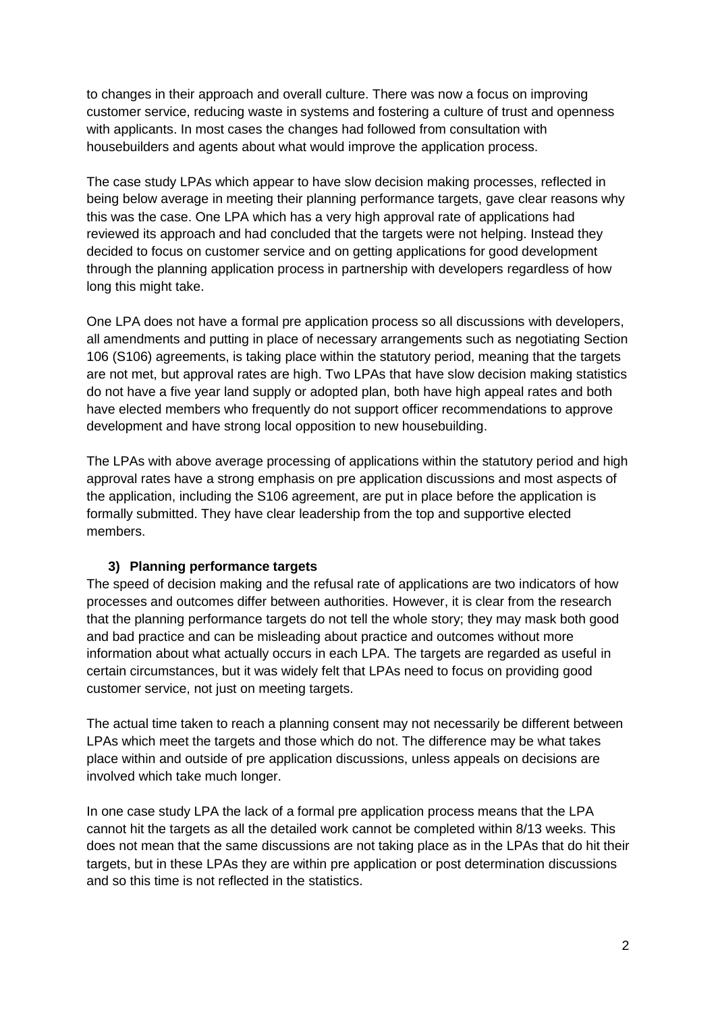to changes in their approach and overall culture. There was now a focus on improving customer service, reducing waste in systems and fostering a culture of trust and openness with applicants. In most cases the changes had followed from consultation with housebuilders and agents about what would improve the application process.

The case study LPAs which appear to have slow decision making processes, reflected in being below average in meeting their planning performance targets, gave clear reasons why this was the case. One LPA which has a very high approval rate of applications had reviewed its approach and had concluded that the targets were not helping. Instead they decided to focus on customer service and on getting applications for good development through the planning application process in partnership with developers regardless of how long this might take.

One LPA does not have a formal pre application process so all discussions with developers, all amendments and putting in place of necessary arrangements such as negotiating Section 106 (S106) agreements, is taking place within the statutory period, meaning that the targets are not met, but approval rates are high. Two LPAs that have slow decision making statistics do not have a five year land supply or adopted plan, both have high appeal rates and both have elected members who frequently do not support officer recommendations to approve development and have strong local opposition to new housebuilding.

The LPAs with above average processing of applications within the statutory period and high approval rates have a strong emphasis on pre application discussions and most aspects of the application, including the S106 agreement, are put in place before the application is formally submitted. They have clear leadership from the top and supportive elected members.

#### **3) Planning performance targets**

The speed of decision making and the refusal rate of applications are two indicators of how processes and outcomes differ between authorities. However, it is clear from the research that the planning performance targets do not tell the whole story; they may mask both good and bad practice and can be misleading about practice and outcomes without more information about what actually occurs in each LPA. The targets are regarded as useful in certain circumstances, but it was widely felt that LPAs need to focus on providing good customer service, not just on meeting targets.

The actual time taken to reach a planning consent may not necessarily be different between LPAs which meet the targets and those which do not. The difference may be what takes place within and outside of pre application discussions, unless appeals on decisions are involved which take much longer.

In one case study LPA the lack of a formal pre application process means that the LPA cannot hit the targets as all the detailed work cannot be completed within 8/13 weeks. This does not mean that the same discussions are not taking place as in the LPAs that do hit their targets, but in these LPAs they are within pre application or post determination discussions and so this time is not reflected in the statistics.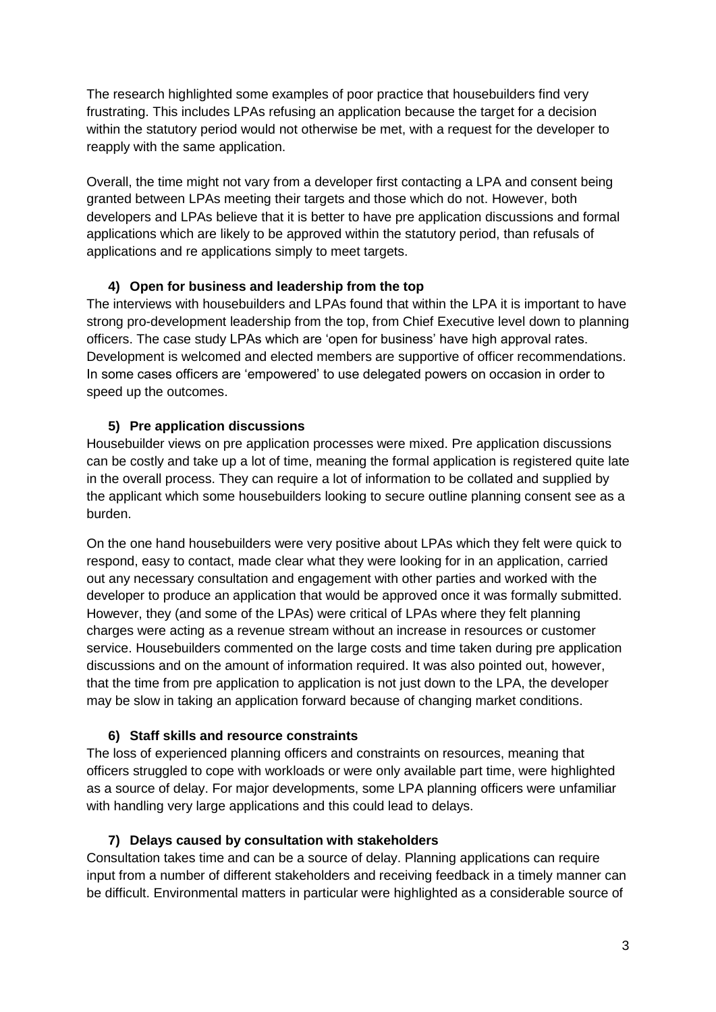The research highlighted some examples of poor practice that housebuilders find very frustrating. This includes LPAs refusing an application because the target for a decision within the statutory period would not otherwise be met, with a request for the developer to reapply with the same application.

Overall, the time might not vary from a developer first contacting a LPA and consent being granted between LPAs meeting their targets and those which do not. However, both developers and LPAs believe that it is better to have pre application discussions and formal applications which are likely to be approved within the statutory period, than refusals of applications and re applications simply to meet targets.

## **4) Open for business and leadership from the top**

The interviews with housebuilders and LPAs found that within the LPA it is important to have strong pro-development leadership from the top, from Chief Executive level down to planning officers. The case study LPAs which are 'open for business' have high approval rates. Development is welcomed and elected members are supportive of officer recommendations. In some cases officers are 'empowered' to use delegated powers on occasion in order to speed up the outcomes.

## **5) Pre application discussions**

Housebuilder views on pre application processes were mixed. Pre application discussions can be costly and take up a lot of time, meaning the formal application is registered quite late in the overall process. They can require a lot of information to be collated and supplied by the applicant which some housebuilders looking to secure outline planning consent see as a burden.

On the one hand housebuilders were very positive about LPAs which they felt were quick to respond, easy to contact, made clear what they were looking for in an application, carried out any necessary consultation and engagement with other parties and worked with the developer to produce an application that would be approved once it was formally submitted. However, they (and some of the LPAs) were critical of LPAs where they felt planning charges were acting as a revenue stream without an increase in resources or customer service. Housebuilders commented on the large costs and time taken during pre application discussions and on the amount of information required. It was also pointed out, however, that the time from pre application to application is not just down to the LPA, the developer may be slow in taking an application forward because of changing market conditions.

#### **6) Staff skills and resource constraints**

The loss of experienced planning officers and constraints on resources, meaning that officers struggled to cope with workloads or were only available part time, were highlighted as a source of delay. For major developments, some LPA planning officers were unfamiliar with handling very large applications and this could lead to delays.

#### **7) Delays caused by consultation with stakeholders**

Consultation takes time and can be a source of delay. Planning applications can require input from a number of different stakeholders and receiving feedback in a timely manner can be difficult. Environmental matters in particular were highlighted as a considerable source of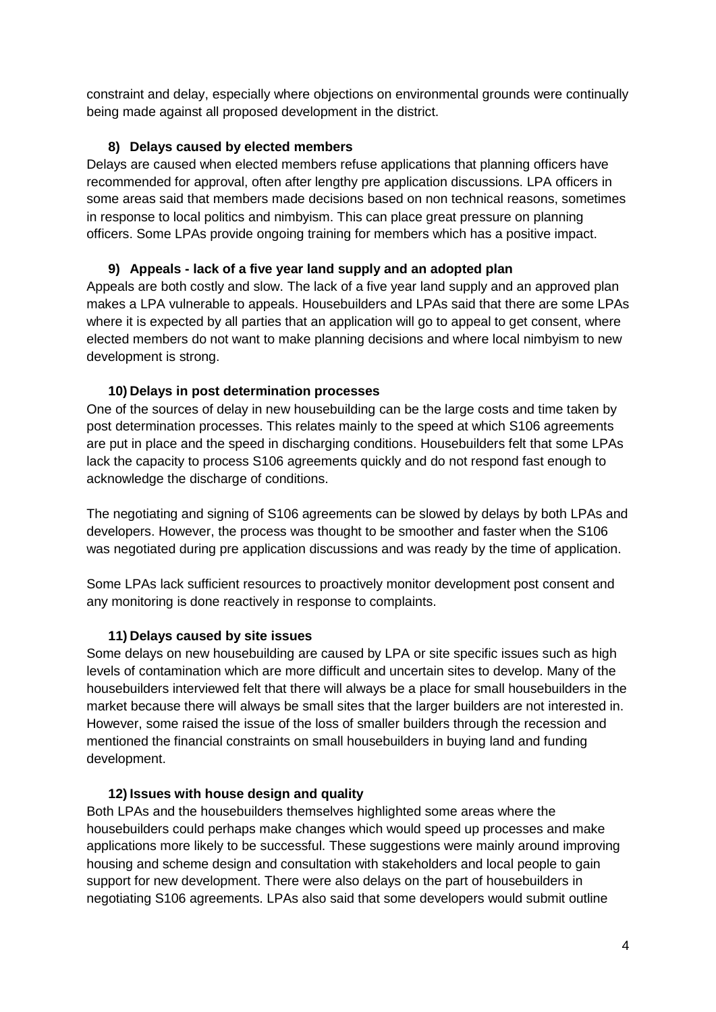constraint and delay, especially where objections on environmental grounds were continually being made against all proposed development in the district.

#### **8) Delays caused by elected members**

Delays are caused when elected members refuse applications that planning officers have recommended for approval, often after lengthy pre application discussions. LPA officers in some areas said that members made decisions based on non technical reasons, sometimes in response to local politics and nimbyism. This can place great pressure on planning officers. Some LPAs provide ongoing training for members which has a positive impact.

## **9) Appeals - lack of a five year land supply and an adopted plan**

Appeals are both costly and slow. The lack of a five year land supply and an approved plan makes a LPA vulnerable to appeals. Housebuilders and LPAs said that there are some LPAs where it is expected by all parties that an application will go to appeal to get consent, where elected members do not want to make planning decisions and where local nimbyism to new development is strong.

#### **10) Delays in post determination processes**

One of the sources of delay in new housebuilding can be the large costs and time taken by post determination processes. This relates mainly to the speed at which S106 agreements are put in place and the speed in discharging conditions. Housebuilders felt that some LPAs lack the capacity to process S106 agreements quickly and do not respond fast enough to acknowledge the discharge of conditions.

The negotiating and signing of S106 agreements can be slowed by delays by both LPAs and developers. However, the process was thought to be smoother and faster when the S106 was negotiated during pre application discussions and was ready by the time of application.

Some LPAs lack sufficient resources to proactively monitor development post consent and any monitoring is done reactively in response to complaints.

#### **11) Delays caused by site issues**

Some delays on new housebuilding are caused by LPA or site specific issues such as high levels of contamination which are more difficult and uncertain sites to develop. Many of the housebuilders interviewed felt that there will always be a place for small housebuilders in the market because there will always be small sites that the larger builders are not interested in. However, some raised the issue of the loss of smaller builders through the recession and mentioned the financial constraints on small housebuilders in buying land and funding development.

#### **12) Issues with house design and quality**

Both LPAs and the housebuilders themselves highlighted some areas where the housebuilders could perhaps make changes which would speed up processes and make applications more likely to be successful. These suggestions were mainly around improving housing and scheme design and consultation with stakeholders and local people to gain support for new development. There were also delays on the part of housebuilders in negotiating S106 agreements. LPAs also said that some developers would submit outline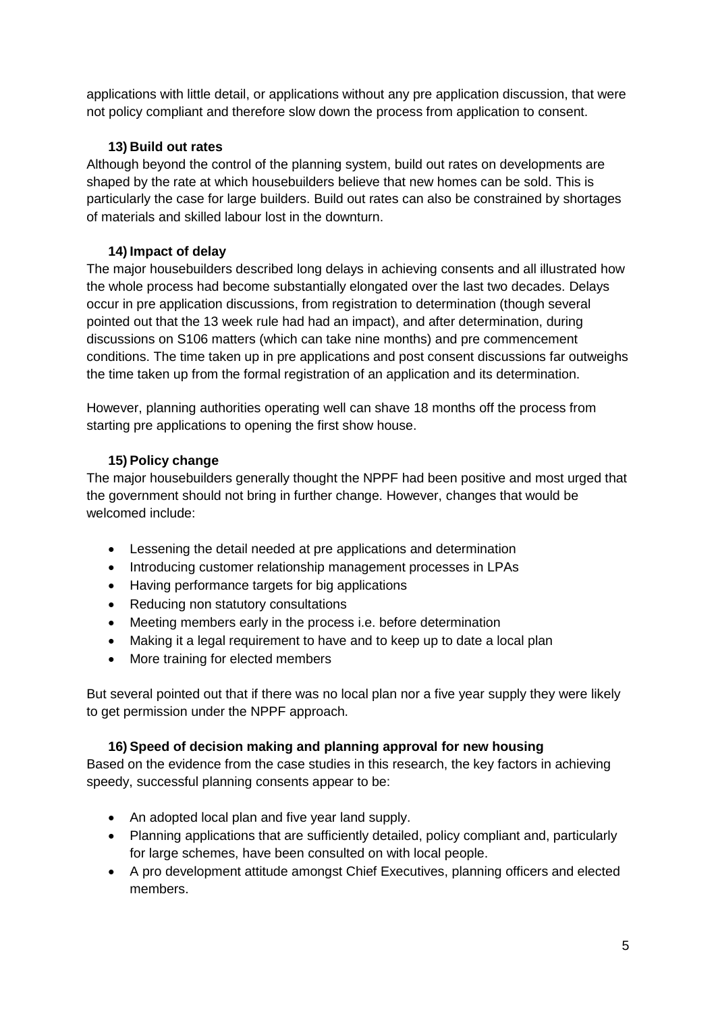applications with little detail, or applications without any pre application discussion, that were not policy compliant and therefore slow down the process from application to consent.

## **13) Build out rates**

Although beyond the control of the planning system, build out rates on developments are shaped by the rate at which housebuilders believe that new homes can be sold. This is particularly the case for large builders. Build out rates can also be constrained by shortages of materials and skilled labour lost in the downturn.

## **14) Impact of delay**

The major housebuilders described long delays in achieving consents and all illustrated how the whole process had become substantially elongated over the last two decades. Delays occur in pre application discussions, from registration to determination (though several pointed out that the 13 week rule had had an impact), and after determination, during discussions on S106 matters (which can take nine months) and pre commencement conditions. The time taken up in pre applications and post consent discussions far outweighs the time taken up from the formal registration of an application and its determination.

However, planning authorities operating well can shave 18 months off the process from starting pre applications to opening the first show house.

## **15) Policy change**

The major housebuilders generally thought the NPPF had been positive and most urged that the government should not bring in further change. However, changes that would be welcomed include:

- Lessening the detail needed at pre applications and determination
- Introducing customer relationship management processes in LPAs
- Having performance targets for big applications
- Reducing non statutory consultations
- Meeting members early in the process i.e. before determination
- Making it a legal requirement to have and to keep up to date a local plan
- More training for elected members

But several pointed out that if there was no local plan nor a five year supply they were likely to get permission under the NPPF approach.

## **16) Speed of decision making and planning approval for new housing**

Based on the evidence from the case studies in this research, the key factors in achieving speedy, successful planning consents appear to be:

- An adopted local plan and five year land supply.
- Planning applications that are sufficiently detailed, policy compliant and, particularly for large schemes, have been consulted on with local people.
- A pro development attitude amongst Chief Executives, planning officers and elected members.